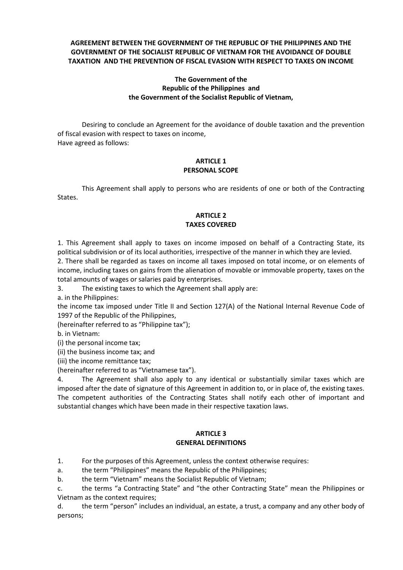# **AGREEMENT BETWEEN THE GOVERNMENT OF THE REPUBLIC OF THE PHILIPPINES AND THE GOVERNMENT OF THE SOCIALIST REPUBLIC OF VIETNAM FOR THE AVOIDANCE OF DOUBLE TAXATION AND THE PREVENTION OF FISCAL EVASION WITH RESPECT TO TAXES ON INCOME**

#### **The Government of the Republic of the Philippines and the Government of the Socialist Republic of Vietnam,**

Desiring to conclude an Agreement for the avoidance of double taxation and the prevention of fiscal evasion with respect to taxes on income, Have agreed as follows:

### **ARTICLE 1 PERSONAL SCOPE**

This Agreement shall apply to persons who are residents of one or both of the Contracting States.

#### **ARTICLE 2 TAXES COVERED**

1. This Agreement shall apply to taxes on income imposed on behalf of a Contracting State, its political subdivision or of its local authorities, irrespective of the manner in which they are levied.

2. There shall be regarded as taxes on income all taxes imposed on total income, or on elements of income, including taxes on gains from the alienation of movable or immovable property, taxes on the total amounts of wages or salaries paid by enterprises.

3. The existing taxes to which the Agreement shall apply are:

a. in the Philippines:

the income tax imposed under Title II and Section 127(A) of the National Internal Revenue Code of 1997 of the Republic of the Philippines,

(hereinafter referred to as "Philippine tax");

b. in Vietnam:

(i) the personal income tax;

(ii) the business income tax; and

(iii) the income remittance tax;

(hereinafter referred to as "Vietnamese tax").

4. The Agreement shall also apply to any identical or substantially similar taxes which are imposed after the date of signature of this Agreement in addition to, or in place of, the existing taxes. The competent authorities of the Contracting States shall notify each other of important and substantial changes which have been made in their respective taxation laws.

#### **ARTICLE 3 GENERAL DEFINITIONS**

1. For the purposes of this Agreement, unless the context otherwise requires:

a. the term "Philippines" means the Republic of the Philippines;

b. the term "Vietnam" means the Socialist Republic of Vietnam;

c. the terms "a Contracting State" and "the other Contracting State" mean the Philippines or Vietnam as the context requires;

d. the term "person" includes an individual, an estate, a trust, a company and any other body of persons;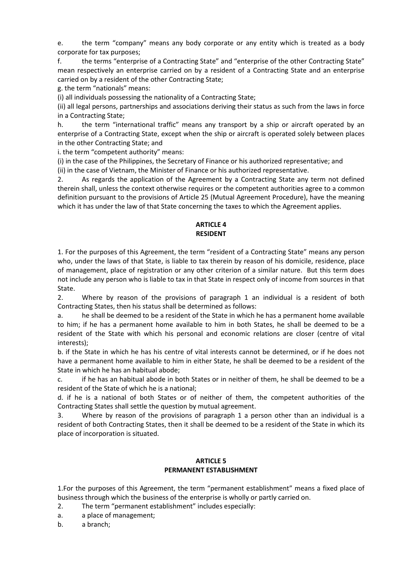e. the term "company" means any body corporate or any entity which is treated as a body corporate for tax purposes;

f. the terms "enterprise of a Contracting State" and "enterprise of the other Contracting State" mean respectively an enterprise carried on by a resident of a Contracting State and an enterprise carried on by a resident of the other Contracting State;

g. the term "nationals" means:

(i) all individuals possessing the nationality of a Contracting State;

(ii) all legal persons, partnerships and associations deriving their status as such from the laws in force in a Contracting State;

h. the term "international traffic" means any transport by a ship or aircraft operated by an enterprise of a Contracting State, except when the ship or aircraft is operated solely between places in the other Contracting State; and

i. the term "competent authority" means:

(i) in the case of the Philippines, the Secretary of Finance or his authorized representative; and (ii) in the case of Vietnam, the Minister of Finance or his authorized representative.

2. As regards the application of the Agreement by a Contracting State any term not defined therein shall, unless the context otherwise requires or the competent authorities agree to a common definition pursuant to the provisions of Article 25 (Mutual Agreement Procedure), have the meaning which it has under the law of that State concerning the taxes to which the Agreement applies.

#### **ARTICLE 4 RESIDENT**

1. For the purposes of this Agreement, the term "resident of a Contracting State" means any person who, under the laws of that State, is liable to tax therein by reason of his domicile, residence, place of management, place of registration or any other criterion of a similar nature. But this term does not include any person who is liable to tax in that State in respect only of income from sources in that State.

2. Where by reason of the provisions of paragraph 1 an individual is a resident of both Contracting States, then his status shall be determined as follows:

a. he shall be deemed to be a resident of the State in which he has a permanent home available to him; if he has a permanent home available to him in both States, he shall be deemed to be a resident of the State with which his personal and economic relations are closer (centre of vital interests);

b. if the State in which he has his centre of vital interests cannot be determined, or if he does not have a permanent home available to him in either State, he shall be deemed to be a resident of the State in which he has an habitual abode;

c. if he has an habitual abode in both States or in neither of them, he shall be deemed to be a resident of the State of which he is a national;

d. if he is a national of both States or of neither of them, the competent authorities of the Contracting States shall settle the question by mutual agreement.

3. Where by reason of the provisions of paragraph 1 a person other than an individual is a resident of both Contracting States, then it shall be deemed to be a resident of the State in which its place of incorporation is situated.

# **ARTICLE 5 PERMANENT ESTABLISHMENT**

1.For the purposes of this Agreement, the term "permanent establishment" means a fixed place of business through which the business of the enterprise is wholly or partly carried on.

- 2. The term "permanent establishment" includes especially:
- a. a place of management;
- b. a branch;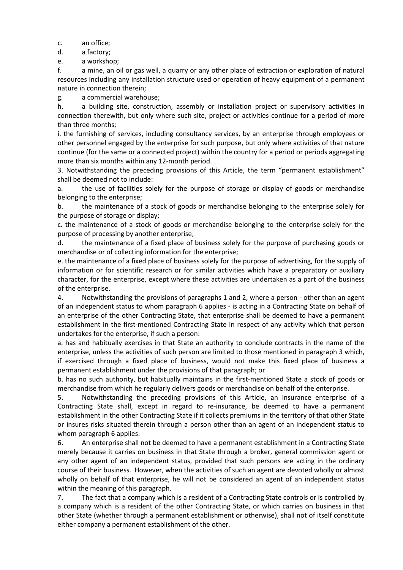c. an office;

d. a factory;

e. a workshop;

f. a mine, an oil or gas well, a quarry or any other place of extraction or exploration of natural resources including any installation structure used or operation of heavy equipment of a permanent nature in connection therein;

g. a commercial warehouse;

h. a building site, construction, assembly or installation project or supervisory activities in connection therewith, but only where such site, project or activities continue for a period of more than three months;

i. the furnishing of services, including consultancy services, by an enterprise through employees or other personnel engaged by the enterprise for such purpose, but only where activities of that nature continue (for the same or a connected project) within the country for a period or periods aggregating more than six months within any 12-month period.

3. Notwithstanding the preceding provisions of this Article, the term "permanent establishment" shall be deemed not to include:

a. the use of facilities solely for the purpose of storage or display of goods or merchandise belonging to the enterprise;

b. the maintenance of a stock of goods or merchandise belonging to the enterprise solely for the purpose of storage or display;

c. the maintenance of a stock of goods or merchandise belonging to the enterprise solely for the purpose of processing by another enterprise;

d. the maintenance of a fixed place of business solely for the purpose of purchasing goods or merchandise or of collecting information for the enterprise;

e. the maintenance of a fixed place of business solely for the purpose of advertising, for the supply of information or for scientific research or for similar activities which have a preparatory or auxiliary character, for the enterprise, except where these activities are undertaken as a part of the business of the enterprise.

4. Notwithstanding the provisions of paragraphs 1 and 2, where a person - other than an agent of an independent status to whom paragraph 6 applies - is acting in a Contracting State on behalf of an enterprise of the other Contracting State, that enterprise shall be deemed to have a permanent establishment in the first-mentioned Contracting State in respect of any activity which that person undertakes for the enterprise, if such a person:

a. has and habitually exercises in that State an authority to conclude contracts in the name of the enterprise, unless the activities of such person are limited to those mentioned in paragraph 3 which, if exercised through a fixed place of business, would not make this fixed place of business a permanent establishment under the provisions of that paragraph; or

b. has no such authority, but habitually maintains in the first-mentioned State a stock of goods or merchandise from which he regularly delivers goods or merchandise on behalf of the enterprise.

5. Notwithstanding the preceding provisions of this Article, an insurance enterprise of a Contracting State shall, except in regard to re-insurance, be deemed to have a permanent establishment in the other Contracting State if it collects premiums in the territory of that other State or insures risks situated therein through a person other than an agent of an independent status to whom paragraph 6 applies.

6. An enterprise shall not be deemed to have a permanent establishment in a Contracting State merely because it carries on business in that State through a broker, general commission agent or any other agent of an independent status, provided that such persons are acting in the ordinary course of their business. However, when the activities of such an agent are devoted wholly or almost wholly on behalf of that enterprise, he will not be considered an agent of an independent status within the meaning of this paragraph.

7. The fact that a company which is a resident of a Contracting State controls or is controlled by a company which is a resident of the other Contracting State, or which carries on business in that other State (whether through a permanent establishment or otherwise), shall not of itself constitute either company a permanent establishment of the other.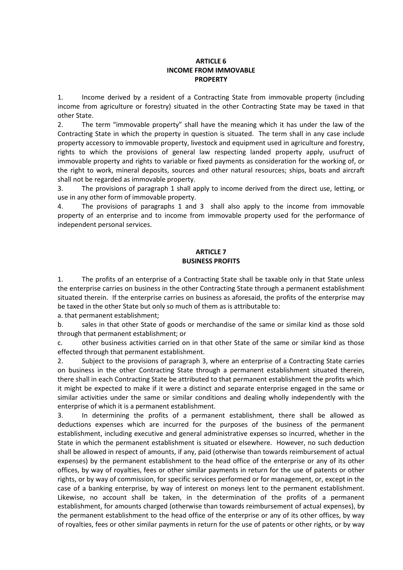### **ARTICLE 6 INCOME FROM IMMOVABLE PROPERTY**

1. Income derived by a resident of a Contracting State from immovable property (including income from agriculture or forestry) situated in the other Contracting State may be taxed in that other State.

2. The term "immovable property" shall have the meaning which it has under the law of the Contracting State in which the property in question is situated. The term shall in any case include property accessory to immovable property, livestock and equipment used in agriculture and forestry, rights to which the provisions of general law respecting landed property apply, usufruct of immovable property and rights to variable or fixed payments as consideration for the working of, or the right to work, mineral deposits, sources and other natural resources; ships, boats and aircraft shall not be regarded as immovable property.

3. The provisions of paragraph 1 shall apply to income derived from the direct use, letting, or use in any other form of immovable property.

4. The provisions of paragraphs 1 and 3 shall also apply to the income from immovable property of an enterprise and to income from immovable property used for the performance of independent personal services.

### **ARTICLE 7 BUSINESS PROFITS**

1. The profits of an enterprise of a Contracting State shall be taxable only in that State unless the enterprise carries on business in the other Contracting State through a permanent establishment situated therein. If the enterprise carries on business as aforesaid, the profits of the enterprise may be taxed in the other State but only so much of them as is attributable to:

a. that permanent establishment;

b. sales in that other State of goods or merchandise of the same or similar kind as those sold through that permanent establishment; or

c. other business activities carried on in that other State of the same or similar kind as those effected through that permanent establishment.

2. Subject to the provisions of paragraph 3, where an enterprise of a Contracting State carries on business in the other Contracting State through a permanent establishment situated therein, there shall in each Contracting State be attributed to that permanent establishment the profits which it might be expected to make if it were a distinct and separate enterprise engaged in the same or similar activities under the same or similar conditions and dealing wholly independently with the enterprise of which it is a permanent establishment.

3. In determining the profits of a permanent establishment, there shall be allowed as deductions expenses which are incurred for the purposes of the business of the permanent establishment, including executive and general administrative expenses so incurred, whether in the State in which the permanent establishment is situated or elsewhere. However, no such deduction shall be allowed in respect of amounts, if any, paid (otherwise than towards reimbursement of actual expenses) by the permanent establishment to the head office of the enterprise or any of its other offices, by way of royalties, fees or other similar payments in return for the use of patents or other rights, or by way of commission, for specific services performed or for management, or, except in the case of a banking enterprise, by way of interest on moneys lent to the permanent establishment. Likewise, no account shall be taken, in the determination of the profits of a permanent establishment, for amounts charged (otherwise than towards reimbursement of actual expenses), by the permanent establishment to the head office of the enterprise or any of its other offices, by way of royalties, fees or other similar payments in return for the use of patents or other rights, or by way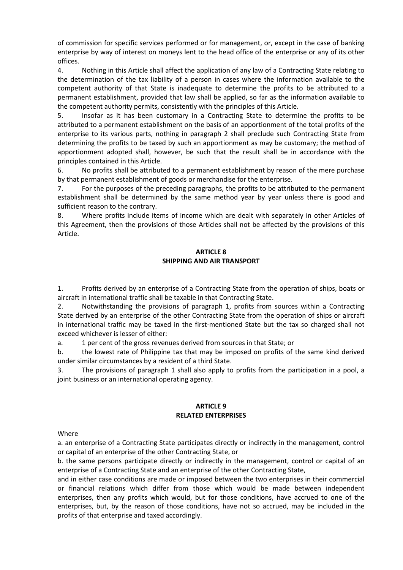of commission for specific services performed or for management, or, except in the case of banking enterprise by way of interest on moneys lent to the head office of the enterprise or any of its other offices.

4. Nothing in this Article shall affect the application of any law of a Contracting State relating to the determination of the tax liability of a person in cases where the information available to the competent authority of that State is inadequate to determine the profits to be attributed to a permanent establishment, provided that law shall be applied, so far as the information available to the competent authority permits, consistently with the principles of this Article.

5. Insofar as it has been customary in a Contracting State to determine the profits to be attributed to a permanent establishment on the basis of an apportionment of the total profits of the enterprise to its various parts, nothing in paragraph 2 shall preclude such Contracting State from determining the profits to be taxed by such an apportionment as may be customary; the method of apportionment adopted shall, however, be such that the result shall be in accordance with the principles contained in this Article.

6. No profits shall be attributed to a permanent establishment by reason of the mere purchase by that permanent establishment of goods or merchandise for the enterprise.

7. For the purposes of the preceding paragraphs, the profits to be attributed to the permanent establishment shall be determined by the same method year by year unless there is good and sufficient reason to the contrary.

8. Where profits include items of income which are dealt with separately in other Articles of this Agreement, then the provisions of those Articles shall not be affected by the provisions of this Article.

### **ARTICLE 8 SHIPPING AND AIR TRANSPORT**

1. Profits derived by an enterprise of a Contracting State from the operation of ships, boats or aircraft in international traffic shall be taxable in that Contracting State.

2. Notwithstanding the provisions of paragraph 1, profits from sources within a Contracting State derived by an enterprise of the other Contracting State from the operation of ships or aircraft in international traffic may be taxed in the first-mentioned State but the tax so charged shall not exceed whichever is lesser of either:

a. 1 per cent of the gross revenues derived from sources in that State; or

b. the lowest rate of Philippine tax that may be imposed on profits of the same kind derived under similar circumstances by a resident of a third State.

3. The provisions of paragraph 1 shall also apply to profits from the participation in a pool, a joint business or an international operating agency.

#### **ARTICLE 9 RELATED ENTERPRISES**

# Where

a. an enterprise of a Contracting State participates directly or indirectly in the management, control or capital of an enterprise of the other Contracting State, or

b. the same persons participate directly or indirectly in the management, control or capital of an enterprise of a Contracting State and an enterprise of the other Contracting State,

and in either case conditions are made or imposed between the two enterprises in their commercial or financial relations which differ from those which would be made between independent enterprises, then any profits which would, but for those conditions, have accrued to one of the enterprises, but, by the reason of those conditions, have not so accrued, may be included in the profits of that enterprise and taxed accordingly.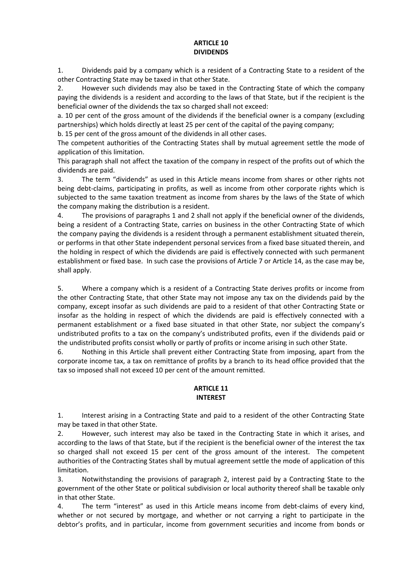#### **ARTICLE 10 DIVIDENDS**

1. Dividends paid by a company which is a resident of a Contracting State to a resident of the other Contracting State may be taxed in that other State.

2. However such dividends may also be taxed in the Contracting State of which the company paying the dividends is a resident and according to the laws of that State, but if the recipient is the beneficial owner of the dividends the tax so charged shall not exceed:

a. 10 per cent of the gross amount of the dividends if the beneficial owner is a company (excluding partnerships) which holds directly at least 25 per cent of the capital of the paying company;

b. 15 per cent of the gross amount of the dividends in all other cases.

The competent authorities of the Contracting States shall by mutual agreement settle the mode of application of this limitation.

This paragraph shall not affect the taxation of the company in respect of the profits out of which the dividends are paid.

3. The term "dividends" as used in this Article means income from shares or other rights not being debt-claims, participating in profits, as well as income from other corporate rights which is subjected to the same taxation treatment as income from shares by the laws of the State of which the company making the distribution is a resident.

4. The provisions of paragraphs 1 and 2 shall not apply if the beneficial owner of the dividends, being a resident of a Contracting State, carries on business in the other Contracting State of which the company paying the dividends is a resident through a permanent establishment situated therein, or performs in that other State independent personal services from a fixed base situated therein, and the holding in respect of which the dividends are paid is effectively connected with such permanent establishment or fixed base. In such case the provisions of Article 7 or Article 14, as the case may be, shall apply.

5. Where a company which is a resident of a Contracting State derives profits or income from the other Contracting State, that other State may not impose any tax on the dividends paid by the company, except insofar as such dividends are paid to a resident of that other Contracting State or insofar as the holding in respect of which the dividends are paid is effectively connected with a permanent establishment or a fixed base situated in that other State, nor subject the company's undistributed profits to a tax on the company's undistributed profits, even if the dividends paid or the undistributed profits consist wholly or partly of profits or income arising in such other State.

6. Nothing in this Article shall prevent either Contracting State from imposing, apart from the corporate income tax, a tax on remittance of profits by a branch to its head office provided that the tax so imposed shall not exceed 10 per cent of the amount remitted.

# **ARTICLE 11 INTEREST**

1. Interest arising in a Contracting State and paid to a resident of the other Contracting State may be taxed in that other State.

2. However, such interest may also be taxed in the Contracting State in which it arises, and according to the laws of that State, but if the recipient is the beneficial owner of the interest the tax so charged shall not exceed 15 per cent of the gross amount of the interest. The competent authorities of the Contracting States shall by mutual agreement settle the mode of application of this limitation.

3. Notwithstanding the provisions of paragraph 2, interest paid by a Contracting State to the government of the other State or political subdivision or local authority thereof shall be taxable only in that other State.

4. The term "interest" as used in this Article means income from debt-claims of every kind, whether or not secured by mortgage, and whether or not carrying a right to participate in the debtor's profits, and in particular, income from government securities and income from bonds or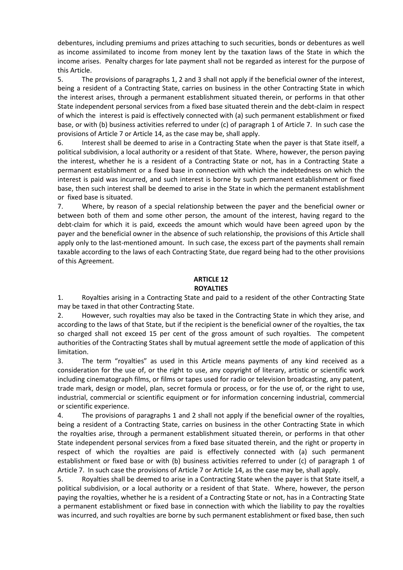debentures, including premiums and prizes attaching to such securities, bonds or debentures as well as income assimilated to income from money lent by the taxation laws of the State in which the income arises. Penalty charges for late payment shall not be regarded as interest for the purpose of this Article.

5. The provisions of paragraphs 1, 2 and 3 shall not apply if the beneficial owner of the interest, being a resident of a Contracting State, carries on business in the other Contracting State in which the interest arises, through a permanent establishment situated therein, or performs in that other State independent personal services from a fixed base situated therein and the debt-claim in respect of which the interest is paid is effectively connected with (a) such permanent establishment or fixed base, or with (b) business activities referred to under (c) of paragraph 1 of Article 7. In such case the provisions of Article 7 or Article 14, as the case may be, shall apply.

6. Interest shall be deemed to arise in a Contracting State when the payer is that State itself, a political subdivision, a local authority or a resident of that State. Where, however, the person paying the interest, whether he is a resident of a Contracting State or not, has in a Contracting State a permanent establishment or a fixed base in connection with which the indebtedness on which the interest is paid was incurred, and such interest is borne by such permanent establishment or fixed base, then such interest shall be deemed to arise in the State in which the permanent establishment or fixed base is situated.

7. Where, by reason of a special relationship between the payer and the beneficial owner or between both of them and some other person, the amount of the interest, having regard to the debt-claim for which it is paid, exceeds the amount which would have been agreed upon by the payer and the beneficial owner in the absence of such relationship, the provisions of this Article shall apply only to the last-mentioned amount. In such case, the excess part of the payments shall remain taxable according to the laws of each Contracting State, due regard being had to the other provisions of this Agreement.

### **ARTICLE 12 ROYALTIES**

1. Royalties arising in a Contracting State and paid to a resident of the other Contracting State may be taxed in that other Contracting State.

2. However, such royalties may also be taxed in the Contracting State in which they arise, and according to the laws of that State, but if the recipient is the beneficial owner of the royalties, the tax so charged shall not exceed 15 per cent of the gross amount of such royalties. The competent authorities of the Contracting States shall by mutual agreement settle the mode of application of this limitation.

3. The term "royalties" as used in this Article means payments of any kind received as a consideration for the use of, or the right to use, any copyright of literary, artistic or scientific work including cinematograph films, or films or tapes used for radio or television broadcasting, any patent, trade mark, design or model, plan, secret formula or process, or for the use of, or the right to use, industrial, commercial or scientific equipment or for information concerning industrial, commercial or scientific experience.

4. The provisions of paragraphs 1 and 2 shall not apply if the beneficial owner of the royalties, being a resident of a Contracting State, carries on business in the other Contracting State in which the royalties arise, through a permanent establishment situated therein, or performs in that other State independent personal services from a fixed base situated therein, and the right or property in respect of which the royalties are paid is effectively connected with (a) such permanent establishment or fixed base or with (b) business activities referred to under (c) of paragraph 1 of Article 7. In such case the provisions of Article 7 or Article 14, as the case may be, shall apply.

5. Royalties shall be deemed to arise in a Contracting State when the payer is that State itself, a political subdivision, or a local authority or a resident of that State. Where, however, the person paying the royalties, whether he is a resident of a Contracting State or not, has in a Contracting State a permanent establishment or fixed base in connection with which the liability to pay the royalties was incurred, and such royalties are borne by such permanent establishment or fixed base, then such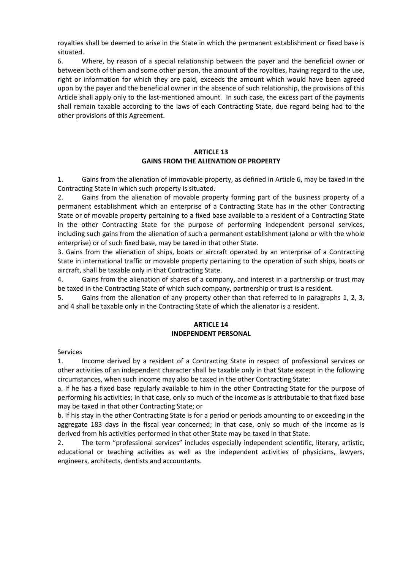royalties shall be deemed to arise in the State in which the permanent establishment or fixed base is situated.

6. Where, by reason of a special relationship between the payer and the beneficial owner or between both of them and some other person, the amount of the royalties, having regard to the use, right or information for which they are paid, exceeds the amount which would have been agreed upon by the payer and the beneficial owner in the absence of such relationship, the provisions of this Article shall apply only to the last-mentioned amount. In such case, the excess part of the payments shall remain taxable according to the laws of each Contracting State, due regard being had to the other provisions of this Agreement.

### **ARTICLE 13 GAINS FROM THE ALIENATION OF PROPERTY**

1. Gains from the alienation of immovable property, as defined in Article 6, may be taxed in the Contracting State in which such property is situated.

2. Gains from the alienation of movable property forming part of the business property of a permanent establishment which an enterprise of a Contracting State has in the other Contracting State or of movable property pertaining to a fixed base available to a resident of a Contracting State in the other Contracting State for the purpose of performing independent personal services, including such gains from the alienation of such a permanent establishment (alone or with the whole enterprise) or of such fixed base, may be taxed in that other State.

3. Gains from the alienation of ships, boats or aircraft operated by an enterprise of a Contracting State in international traffic or movable property pertaining to the operation of such ships, boats or aircraft, shall be taxable only in that Contracting State.

4. Gains from the alienation of shares of a company, and interest in a partnership or trust may be taxed in the Contracting State of which such company, partnership or trust is a resident.

5. Gains from the alienation of any property other than that referred to in paragraphs 1, 2, 3, and 4 shall be taxable only in the Contracting State of which the alienator is a resident.

#### **ARTICLE 14 INDEPENDENT PERSONAL**

Services

1. Income derived by a resident of a Contracting State in respect of professional services or other activities of an independent character shall be taxable only in that State except in the following circumstances, when such income may also be taxed in the other Contracting State:

a. If he has a fixed base regularly available to him in the other Contracting State for the purpose of performing his activities; in that case, only so much of the income as is attributable to that fixed base may be taxed in that other Contracting State; or

b. If his stay in the other Contracting State is for a period or periods amounting to or exceeding in the aggregate 183 days in the fiscal year concerned; in that case, only so much of the income as is derived from his activities performed in that other State may be taxed in that State.

2. The term "professional services" includes especially independent scientific, literary, artistic, educational or teaching activities as well as the independent activities of physicians, lawyers, engineers, architects, dentists and accountants.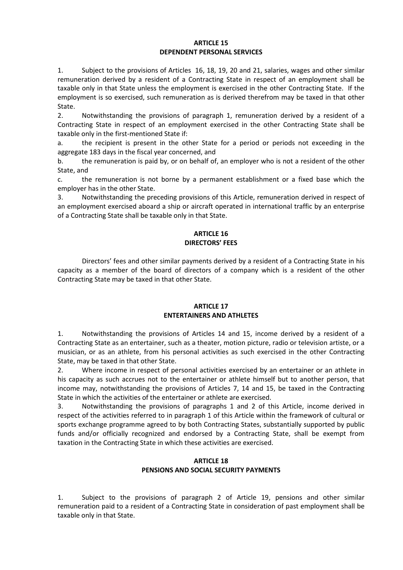#### **ARTICLE 15 DEPENDENT PERSONAL SERVICES**

1. Subject to the provisions of Articles 16, 18, 19, 20 and 21, salaries, wages and other similar remuneration derived by a resident of a Contracting State in respect of an employment shall be taxable only in that State unless the employment is exercised in the other Contracting State. If the employment is so exercised, such remuneration as is derived therefrom may be taxed in that other State.

2. Notwithstanding the provisions of paragraph 1, remuneration derived by a resident of a Contracting State in respect of an employment exercised in the other Contracting State shall be taxable only in the first-mentioned State if:

a. the recipient is present in the other State for a period or periods not exceeding in the aggregate 183 days in the fiscal year concerned, and

b. the remuneration is paid by, or on behalf of, an employer who is not a resident of the other State, and

c. the remuneration is not borne by a permanent establishment or a fixed base which the employer has in the other State.

3. Notwithstanding the preceding provisions of this Article, remuneration derived in respect of an employment exercised aboard a ship or aircraft operated in international traffic by an enterprise of a Contracting State shall be taxable only in that State.

### **ARTICLE 16 DIRECTORS' FEES**

Directors' fees and other similar payments derived by a resident of a Contracting State in his capacity as a member of the board of directors of a company which is a resident of the other Contracting State may be taxed in that other State.

#### **ARTICLE 17 ENTERTAINERS AND ATHLETES**

1. Notwithstanding the provisions of Articles 14 and 15, income derived by a resident of a Contracting State as an entertainer, such as a theater, motion picture, radio or television artiste, or a musician, or as an athlete, from his personal activities as such exercised in the other Contracting State, may be taxed in that other State.

2. Where income in respect of personal activities exercised by an entertainer or an athlete in his capacity as such accrues not to the entertainer or athlete himself but to another person, that income may, notwithstanding the provisions of Articles 7, 14 and 15, be taxed in the Contracting State in which the activities of the entertainer or athlete are exercised.

3. Notwithstanding the provisions of paragraphs 1 and 2 of this Article, income derived in respect of the activities referred to in paragraph 1 of this Article within the framework of cultural or sports exchange programme agreed to by both Contracting States, substantially supported by public funds and/or officially recognized and endorsed by a Contracting State, shall be exempt from taxation in the Contracting State in which these activities are exercised.

# **ARTICLE 18 PENSIONS AND SOCIAL SECURITY PAYMENTS**

1. Subject to the provisions of paragraph 2 of Article 19, pensions and other similar remuneration paid to a resident of a Contracting State in consideration of past employment shall be taxable only in that State.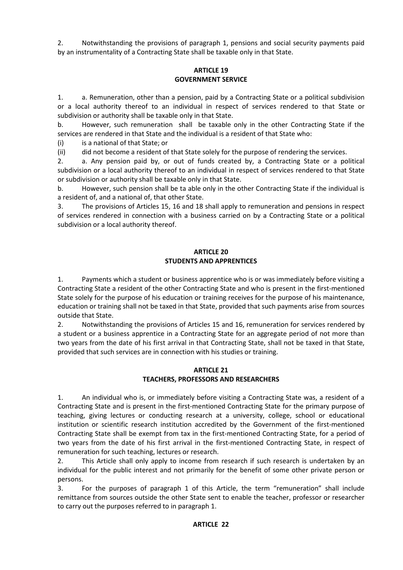2. Notwithstanding the provisions of paragraph 1, pensions and social security payments paid by an instrumentality of a Contracting State shall be taxable only in that State.

# **ARTICLE 19 GOVERNMENT SERVICE**

1. a. Remuneration, other than a pension, paid by a Contracting State or a political subdivision or a local authority thereof to an individual in respect of services rendered to that State or subdivision or authority shall be taxable only in that State.

b. However, such remuneration shall be taxable only in the other Contracting State if the services are rendered in that State and the individual is a resident of that State who:

(i) is a national of that State; or

(ii) did not become a resident of that State solely for the purpose of rendering the services.

2. a. Any pension paid by, or out of funds created by, a Contracting State or a political subdivision or a local authority thereof to an individual in respect of services rendered to that State or subdivision or authority shall be taxable only in that State.

b. However, such pension shall be ta able only in the other Contracting State if the individual is a resident of, and a national of, that other State.

3. The provisions of Articles 15, 16 and 18 shall apply to remuneration and pensions in respect of services rendered in connection with a business carried on by a Contracting State or a political subdivision or a local authority thereof.

# **ARTICLE 20 STUDENTS AND APPRENTICES**

1. Payments which a student or business apprentice who is or was immediately before visiting a Contracting State a resident of the other Contracting State and who is present in the first-mentioned State solely for the purpose of his education or training receives for the purpose of his maintenance, education or training shall not be taxed in that State, provided that such payments arise from sources outside that State.

2. Notwithstanding the provisions of Articles 15 and 16, remuneration for services rendered by a student or a business apprentice in a Contracting State for an aggregate period of not more than two years from the date of his first arrival in that Contracting State, shall not be taxed in that State, provided that such services are in connection with his studies or training.

# **ARTICLE 21 TEACHERS, PROFESSORS AND RESEARCHERS**

1. An individual who is, or immediately before visiting a Contracting State was, a resident of a Contracting State and is present in the first-mentioned Contracting State for the primary purpose of teaching, giving lectures or conducting research at a university, college, school or educational institution or scientific research institution accredited by the Government of the first-mentioned Contracting State shall be exempt from tax in the first-mentioned Contracting State, for a period of two years from the date of his first arrival in the first-mentioned Contracting State, in respect of remuneration for such teaching, lectures or research.

2. This Article shall only apply to income from research if such research is undertaken by an individual for the public interest and not primarily for the benefit of some other private person or persons.

3. For the purposes of paragraph 1 of this Article, the term "remuneration" shall include remittance from sources outside the other State sent to enable the teacher, professor or researcher to carry out the purposes referred to in paragraph 1.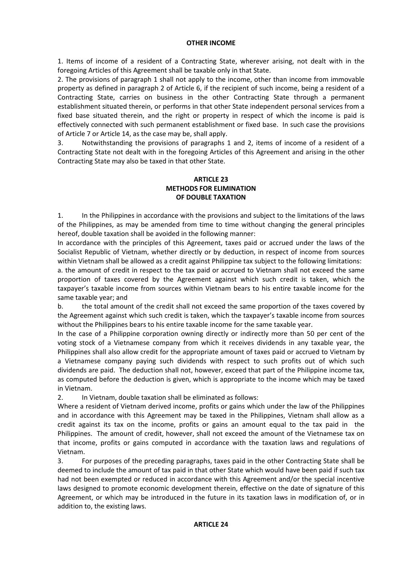#### **OTHER INCOME**

1. Items of income of a resident of a Contracting State, wherever arising, not dealt with in the foregoing Articles of this Agreement shall be taxable only in that State.

2. The provisions of paragraph 1 shall not apply to the income, other than income from immovable property as defined in paragraph 2 of Article 6, if the recipient of such income, being a resident of a Contracting State, carries on business in the other Contracting State through a permanent establishment situated therein, or performs in that other State independent personal services from a fixed base situated therein, and the right or property in respect of which the income is paid is effectively connected with such permanent establishment or fixed base. In such case the provisions of Article 7 or Article 14, as the case may be, shall apply.

3. Notwithstanding the provisions of paragraphs 1 and 2, items of income of a resident of a Contracting State not dealt with in the foregoing Articles of this Agreement and arising in the other Contracting State may also be taxed in that other State.

# **ARTICLE 23 METHODS FOR ELIMINATION OF DOUBLE TAXATION**

1. In the Philippines in accordance with the provisions and subject to the limitations of the laws of the Philippines, as may be amended from time to time without changing the general principles hereof, double taxation shall be avoided in the following manner:

In accordance with the principles of this Agreement, taxes paid or accrued under the laws of the Socialist Republic of Vietnam, whether directly or by deduction, in respect of income from sources within Vietnam shall be allowed as a credit against Philippine tax subject to the following limitations:

a. the amount of credit in respect to the tax paid or accrued to Vietnam shall not exceed the same proportion of taxes covered by the Agreement against which such credit is taken, which the taxpayer's taxable income from sources within Vietnam bears to his entire taxable income for the same taxable year; and

b. the total amount of the credit shall not exceed the same proportion of the taxes covered by the Agreement against which such credit is taken, which the taxpayer's taxable income from sources without the Philippines bears to his entire taxable income for the same taxable year.

In the case of a Philippine corporation owning directly or indirectly more than 50 per cent of the voting stock of a Vietnamese company from which it receives dividends in any taxable year, the Philippines shall also allow credit for the appropriate amount of taxes paid or accrued to Vietnam by a Vietnamese company paying such dividends with respect to such profits out of which such dividends are paid. The deduction shall not, however, exceed that part of the Philippine income tax, as computed before the deduction is given, which is appropriate to the income which may be taxed in Vietnam.

2. In Vietnam, double taxation shall be eliminated as follows:

Where a resident of Vietnam derived income, profits or gains which under the law of the Philippines and in accordance with this Agreement may be taxed in the Philippines, Vietnam shall allow as a credit against its tax on the income, profits or gains an amount equal to the tax paid in the Philippines. The amount of credit, however, shall not exceed the amount of the Vietnamese tax on that income, profits or gains computed in accordance with the taxation laws and regulations of Vietnam.

3. For purposes of the preceding paragraphs, taxes paid in the other Contracting State shall be deemed to include the amount of tax paid in that other State which would have been paid if such tax had not been exempted or reduced in accordance with this Agreement and/or the special incentive laws designed to promote economic development therein, effective on the date of signature of this Agreement, or which may be introduced in the future in its taxation laws in modification of, or in addition to, the existing laws.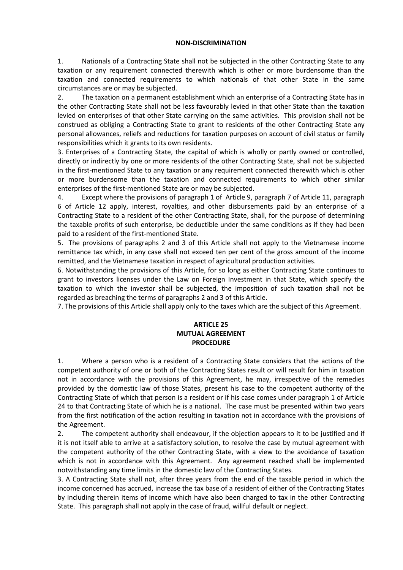#### **NON-DISCRIMINATION**

1. Nationals of a Contracting State shall not be subjected in the other Contracting State to any taxation or any requirement connected therewith which is other or more burdensome than the taxation and connected requirements to which nationals of that other State in the same circumstances are or may be subjected.

2. The taxation on a permanent establishment which an enterprise of a Contracting State has in the other Contracting State shall not be less favourably levied in that other State than the taxation levied on enterprises of that other State carrying on the same activities. This provision shall not be construed as obliging a Contracting State to grant to residents of the other Contracting State any personal allowances, reliefs and reductions for taxation purposes on account of civil status or family responsibilities which it grants to its own residents.

3. Enterprises of a Contracting State, the capital of which is wholly or partly owned or controlled, directly or indirectly by one or more residents of the other Contracting State, shall not be subjected in the first-mentioned State to any taxation or any requirement connected therewith which is other or more burdensome than the taxation and connected requirements to which other similar enterprises of the first-mentioned State are or may be subjected.

4. Except where the provisions of paragraph 1 of Article 9, paragraph 7 of Article 11, paragraph 6 of Article 12 apply, interest, royalties, and other disbursements paid by an enterprise of a Contracting State to a resident of the other Contracting State, shall, for the purpose of determining the taxable profits of such enterprise, be deductible under the same conditions as if they had been paid to a resident of the first-mentioned State.

5. The provisions of paragraphs 2 and 3 of this Article shall not apply to the Vietnamese income remittance tax which, in any case shall not exceed ten per cent of the gross amount of the income remitted, and the Vietnamese taxation in respect of agricultural production activities.

6. Notwithstanding the provisions of this Article, for so long as either Contracting State continues to grant to investors licenses under the Law on Foreign Investment in that State, which specify the taxation to which the investor shall be subjected, the imposition of such taxation shall not be regarded as breaching the terms of paragraphs 2 and 3 of this Article.

7. The provisions of this Article shall apply only to the taxes which are the subject of this Agreement.

# **ARTICLE 25 MUTUAL AGREEMENT PROCEDURE**

1. Where a person who is a resident of a Contracting State considers that the actions of the competent authority of one or both of the Contracting States result or will result for him in taxation not in accordance with the provisions of this Agreement, he may, irrespective of the remedies provided by the domestic law of those States, present his case to the competent authority of the Contracting State of which that person is a resident or if his case comes under paragraph 1 of Article 24 to that Contracting State of which he is a national. The case must be presented within two years from the first notification of the action resulting in taxation not in accordance with the provisions of the Agreement.

2. The competent authority shall endeavour, if the objection appears to it to be justified and if it is not itself able to arrive at a satisfactory solution, to resolve the case by mutual agreement with the competent authority of the other Contracting State, with a view to the avoidance of taxation which is not in accordance with this Agreement. Any agreement reached shall be implemented notwithstanding any time limits in the domestic law of the Contracting States.

3. A Contracting State shall not, after three years from the end of the taxable period in which the income concerned has accrued, increase the tax base of a resident of either of the Contracting States by including therein items of income which have also been charged to tax in the other Contracting State. This paragraph shall not apply in the case of fraud, willful default or neglect.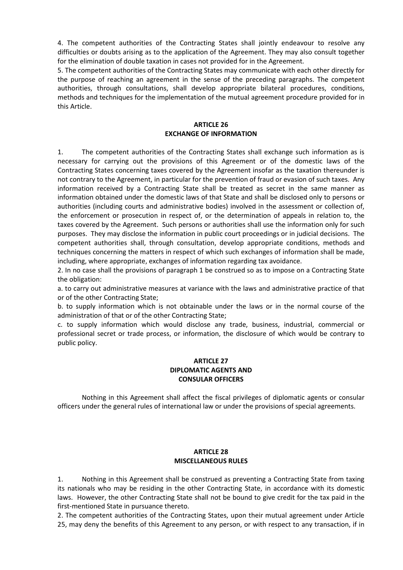4. The competent authorities of the Contracting States shall jointly endeavour to resolve any difficulties or doubts arising as to the application of the Agreement. They may also consult together for the elimination of double taxation in cases not provided for in the Agreement.

5. The competent authorities of the Contracting States may communicate with each other directly for the purpose of reaching an agreement in the sense of the preceding paragraphs. The competent authorities, through consultations, shall develop appropriate bilateral procedures, conditions, methods and techniques for the implementation of the mutual agreement procedure provided for in this Article.

#### **ARTICLE 26 EXCHANGE OF INFORMATION**

1. The competent authorities of the Contracting States shall exchange such information as is necessary for carrying out the provisions of this Agreement or of the domestic laws of the Contracting States concerning taxes covered by the Agreement insofar as the taxation thereunder is not contrary to the Agreement, in particular for the prevention of fraud or evasion of such taxes. Any information received by a Contracting State shall be treated as secret in the same manner as information obtained under the domestic laws of that State and shall be disclosed only to persons or authorities (including courts and administrative bodies) involved in the assessment or collection of, the enforcement or prosecution in respect of, or the determination of appeals in relation to, the taxes covered by the Agreement. Such persons or authorities shall use the information only for such purposes. They may disclose the information in public court proceedings or in judicial decisions. The competent authorities shall, through consultation, develop appropriate conditions, methods and techniques concerning the matters in respect of which such exchanges of information shall be made, including, where appropriate, exchanges of information regarding tax avoidance.

2. In no case shall the provisions of paragraph 1 be construed so as to impose on a Contracting State the obligation:

a. to carry out administrative measures at variance with the laws and administrative practice of that or of the other Contracting State;

b. to supply information which is not obtainable under the laws or in the normal course of the administration of that or of the other Contracting State;

c. to supply information which would disclose any trade, business, industrial, commercial or professional secret or trade process, or information, the disclosure of which would be contrary to public policy.

# **ARTICLE 27 DIPLOMATIC AGENTS AND CONSULAR OFFICERS**

Nothing in this Agreement shall affect the fiscal privileges of diplomatic agents or consular officers under the general rules of international law or under the provisions of special agreements.

#### **ARTICLE 28 MISCELLANEOUS RULES**

1. Nothing in this Agreement shall be construed as preventing a Contracting State from taxing its nationals who may be residing in the other Contracting State, in accordance with its domestic laws. However, the other Contracting State shall not be bound to give credit for the tax paid in the first-mentioned State in pursuance thereto.

2. The competent authorities of the Contracting States, upon their mutual agreement under Article 25, may deny the benefits of this Agreement to any person, or with respect to any transaction, if in